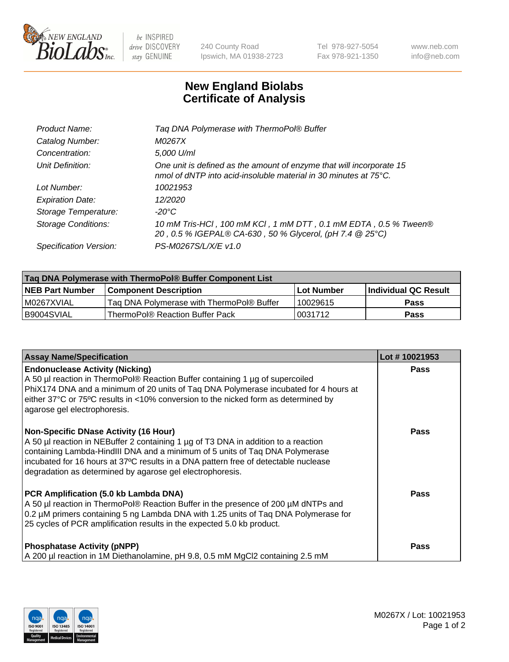

 $be$  INSPIRED drive DISCOVERY stay GENUINE

240 County Road Ipswich, MA 01938-2723 Tel 978-927-5054 Fax 978-921-1350 www.neb.com info@neb.com

## **New England Biolabs Certificate of Analysis**

| Taq DNA Polymerase with ThermoPol® Buffer                                                                                                |
|------------------------------------------------------------------------------------------------------------------------------------------|
| M0267X                                                                                                                                   |
| 5,000 U/ml                                                                                                                               |
| One unit is defined as the amount of enzyme that will incorporate 15<br>nmol of dNTP into acid-insoluble material in 30 minutes at 75°C. |
| 10021953                                                                                                                                 |
| 12/2020                                                                                                                                  |
| $-20^{\circ}$ C                                                                                                                          |
| 10 mM Tris-HCl, 100 mM KCl, 1 mM DTT, 0.1 mM EDTA, 0.5 % Tween®<br>20, 0.5 % IGEPAL® CA-630, 50 % Glycerol, (pH 7.4 @ 25°C)              |
| PS-M0267S/L/X/E v1.0                                                                                                                     |
|                                                                                                                                          |

| Taq DNA Polymerase with ThermoPol® Buffer Component List |                                           |                   |                      |  |  |
|----------------------------------------------------------|-------------------------------------------|-------------------|----------------------|--|--|
| <b>NEB Part Number</b>                                   | <b>Component Description</b>              | <b>Lot Number</b> | Individual QC Result |  |  |
| IM0267XVIAL                                              | Taq DNA Polymerase with ThermoPol® Buffer | 10029615          | <b>Pass</b>          |  |  |
| I B9004SVIAL                                             | ThermoPol® Reaction Buffer Pack           | 10031712          | Pass                 |  |  |

| <b>Assay Name/Specification</b>                                                                                                                                                                                                                                                                                                                                        | Lot #10021953 |
|------------------------------------------------------------------------------------------------------------------------------------------------------------------------------------------------------------------------------------------------------------------------------------------------------------------------------------------------------------------------|---------------|
| <b>Endonuclease Activity (Nicking)</b><br>A 50 µl reaction in ThermoPol® Reaction Buffer containing 1 µg of supercoiled<br>PhiX174 DNA and a minimum of 20 units of Taq DNA Polymerase incubated for 4 hours at<br>either 37°C or 75°C results in <10% conversion to the nicked form as determined by<br>agarose gel electrophoresis.                                  | <b>Pass</b>   |
| <b>Non-Specific DNase Activity (16 Hour)</b><br>A 50 µl reaction in NEBuffer 2 containing 1 µg of T3 DNA in addition to a reaction<br>containing Lambda-HindIII DNA and a minimum of 5 units of Taq DNA Polymerase<br>incubated for 16 hours at 37°C results in a DNA pattern free of detectable nuclease<br>degradation as determined by agarose gel electrophoresis. | Pass          |
| PCR Amplification (5.0 kb Lambda DNA)<br>A 50 µl reaction in ThermoPol® Reaction Buffer in the presence of 200 µM dNTPs and<br>0.2 µM primers containing 5 ng Lambda DNA with 1.25 units of Taq DNA Polymerase for<br>25 cycles of PCR amplification results in the expected 5.0 kb product.                                                                           | Pass          |
| <b>Phosphatase Activity (pNPP)</b><br>A 200 µl reaction in 1M Diethanolamine, pH 9.8, 0.5 mM MgCl2 containing 2.5 mM                                                                                                                                                                                                                                                   | Pass          |